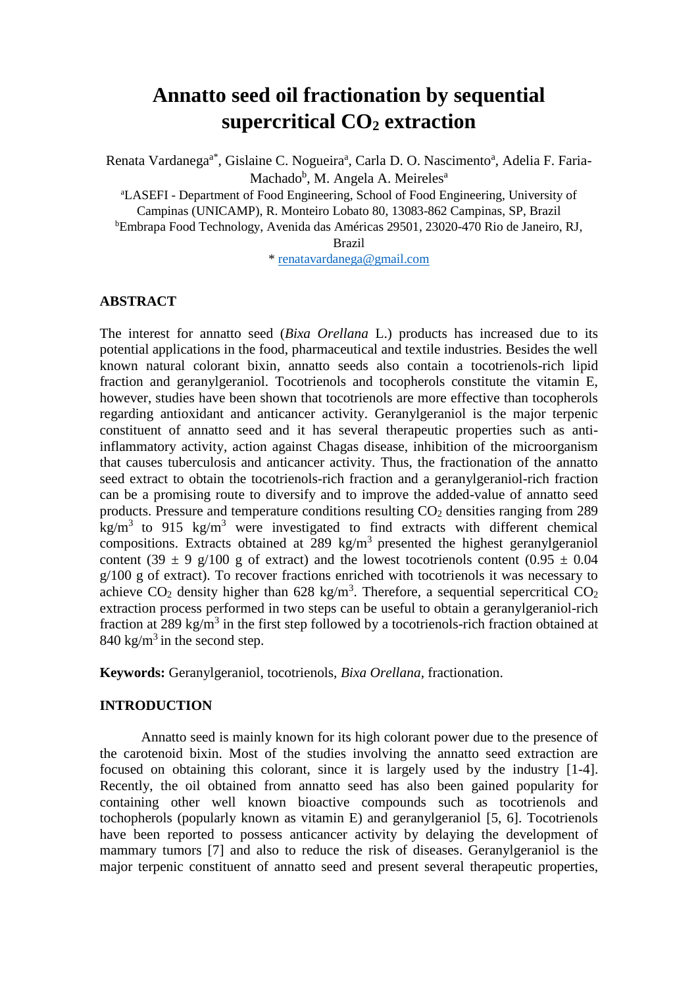# **Annatto seed oil fractionation by sequential supercritical CO<sup>2</sup> extraction**

Renata Vardanega<sup>a\*</sup>, Gislaine C. Nogueira<sup>a</sup>, Carla D. O. Nascimento<sup>a</sup>, Adelia F. Faria-Machado<sup>b</sup>, M. Angela A. Meireles<sup>a</sup>

<sup>a</sup>LASEFI - Department of Food Engineering, School of Food Engineering, University of Campinas (UNICAMP), R. Monteiro Lobato 80, 13083-862 Campinas, SP, Brazil <sup>b</sup>Embrapa Food Technology, Avenida das Américas 29501, 23020-470 Rio de Janeiro, RJ, Brazil

\* [renatavardanega@gmail.com](mailto:renatavardanega@gmail.com)

# **ABSTRACT**

The interest for annatto seed (*Bixa Orellana* L.) products has increased due to its potential applications in the food, pharmaceutical and textile industries. Besides the well known natural colorant bixin, annatto seeds also contain a tocotrienols-rich lipid fraction and geranylgeraniol. Tocotrienols and tocopherols constitute the vitamin E, however, studies have been shown that tocotrienols are more effective than tocopherols regarding antioxidant and anticancer activity. Geranylgeraniol is the major terpenic constituent of annatto seed and it has several therapeutic properties such as antiinflammatory activity, action against Chagas disease, inhibition of the microorganism that causes tuberculosis and anticancer activity. Thus, the fractionation of the annatto seed extract to obtain the tocotrienols-rich fraction and a geranylgeraniol-rich fraction can be a promising route to diversify and to improve the added-value of annatto seed products. Pressure and temperature conditions resulting CO<sub>2</sub> densities ranging from 289 kg/m<sup>3</sup> to 915 kg/m<sup>3</sup> were investigated to find extracts with different chemical compositions. Extracts obtained at  $289 \text{ kg/m}^3$  presented the highest geranylgeraniol content (39  $\pm$  9 g/100 g of extract) and the lowest tocotrienols content (0.95  $\pm$  0.04  $g/100$  g of extract). To recover fractions enriched with tocotrienols it was necessary to achieve  $CO_2$  density higher than 628 kg/m<sup>3</sup>. Therefore, a sequential sepercritical  $CO_2$ extraction process performed in two steps can be useful to obtain a geranylgeraniol-rich fraction at 289 kg/m<sup>3</sup> in the first step followed by a tocotrienols-rich fraction obtained at  $840 \text{ kg/m}^3$  in the second step.

**Keywords:** Geranylgeraniol, tocotrienols, *Bixa Orellana*, fractionation.

# **INTRODUCTION**

Annatto seed is mainly known for its high colorant power due to the presence of the carotenoid bixin. Most of the studies involving the annatto seed extraction are focused on obtaining this colorant, since it is largely used by the industry [\[1-4\]](#page-5-0). Recently, the oil obtained from annatto seed has also been gained popularity for containing other well known bioactive compounds such as tocotrienols and tochopherols (popularly known as vitamin E) and geranylgeraniol [\[5,](#page-5-1) [6\]](#page-5-2). Tocotrienols have been reported to possess anticancer activity by delaying the development of mammary tumors [\[7\]](#page-5-3) and also to reduce the risk of diseases. Geranylgeraniol is the major terpenic constituent of annatto seed and present several therapeutic properties,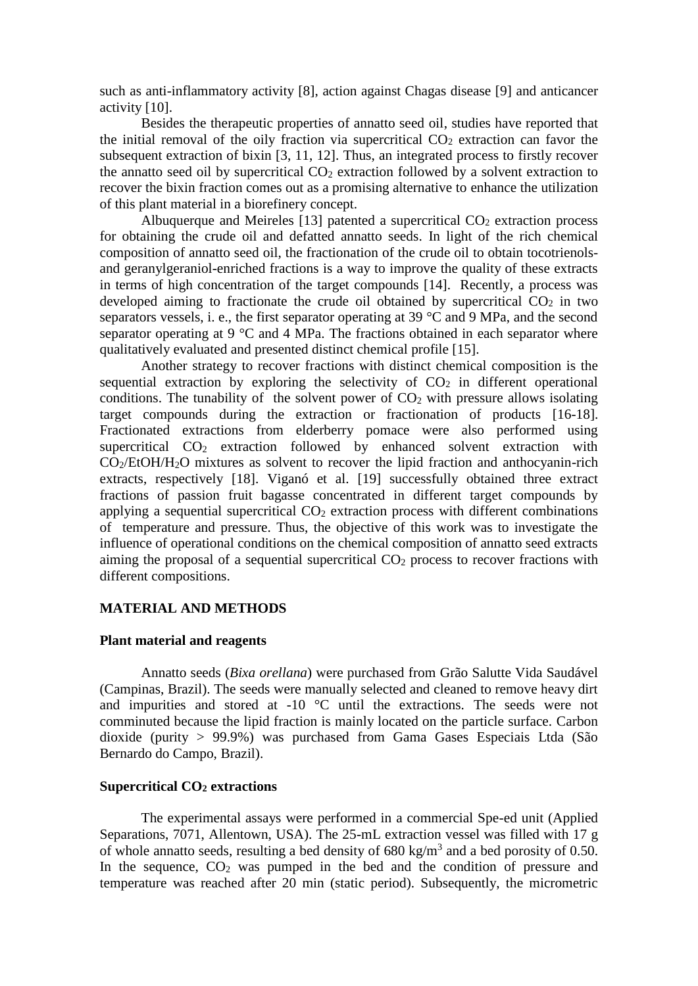such as anti-inflammatory activity [\[8\]](#page-5-4), action against Chagas disease [\[9\]](#page-5-5) and anticancer activity [\[10\]](#page-5-6).

Besides the therapeutic properties of annatto seed oil, studies have reported that the initial removal of the oily fraction via supercritical  $CO<sub>2</sub>$  extraction can favor the subsequent extraction of bixin [\[3,](#page-5-7) [11,](#page-5-8) [12\]](#page-5-9). Thus, an integrated process to firstly recover the annatto seed oil by supercritical  $CO<sub>2</sub>$  extraction followed by a solvent extraction to recover the bixin fraction comes out as a promising alternative to enhance the utilization of this plant material in a biorefinery concept.

Albuquerque and Meireles [\[13\]](#page-5-10) patented a supercritical  $CO<sub>2</sub>$  extraction process for obtaining the crude oil and defatted annatto seeds. In light of the rich chemical composition of annatto seed oil, the fractionation of the crude oil to obtain tocotrienolsand geranylgeraniol-enriched fractions is a way to improve the quality of these extracts in terms of high concentration of the target compounds [\[14\]](#page-6-0). Recently, a process was developed aiming to fractionate the crude oil obtained by supercritical  $CO<sub>2</sub>$  in two separators vessels, i. e., the first separator operating at 39 °C and 9 MPa, and the second separator operating at 9  $\degree$ C and 4 MPa. The fractions obtained in each separator where qualitatively evaluated and presented distinct chemical profile [\[15\]](#page-6-1).

Another strategy to recover fractions with distinct chemical composition is the sequential extraction by exploring the selectivity of  $CO<sub>2</sub>$  in different operational conditions. The tunability of the solvent power of  $CO<sub>2</sub>$  with pressure allows isolating target compounds during the extraction or fractionation of products [\[16-18\]](#page-6-2). Fractionated extractions from elderberry pomace were also performed using supercritical CO<sub>2</sub> extraction followed by enhanced solvent extraction with CO2/EtOH/H2O mixtures as solvent to recover the lipid fraction and anthocyanin-rich extracts, respectively [\[18\]](#page-6-3). Viganó et al. [\[19\]](#page-6-4) successfully obtained three extract fractions of passion fruit bagasse concentrated in different target compounds by applying a sequential supercritical  $CO<sub>2</sub>$  extraction process with different combinations of temperature and pressure. Thus, the objective of this work was to investigate the influence of operational conditions on the chemical composition of annatto seed extracts aiming the proposal of a sequential supercritical  $CO<sub>2</sub>$  process to recover fractions with different compositions.

# **MATERIAL AND METHODS**

# **Plant material and reagents**

Annatto seeds (*Bixa orellana*) were purchased from Grão Salutte Vida Saudável (Campinas, Brazil). The seeds were manually selected and cleaned to remove heavy dirt and impurities and stored at -10 °C until the extractions. The seeds were not comminuted because the lipid fraction is mainly located on the particle surface. Carbon dioxide (purity > 99.9%) was purchased from Gama Gases Especiais Ltda (São Bernardo do Campo, Brazil).

### **Supercritical CO<sup>2</sup> extractions**

The experimental assays were performed in a commercial Spe-ed unit (Applied Separations, 7071, Allentown, USA). The 25-mL extraction vessel was filled with 17 g of whole annatto seeds, resulting a bed density of  $680 \text{ kg/m}^3$  and a bed porosity of 0.50. In the sequence,  $CO<sub>2</sub>$  was pumped in the bed and the condition of pressure and temperature was reached after 20 min (static period). Subsequently, the micrometric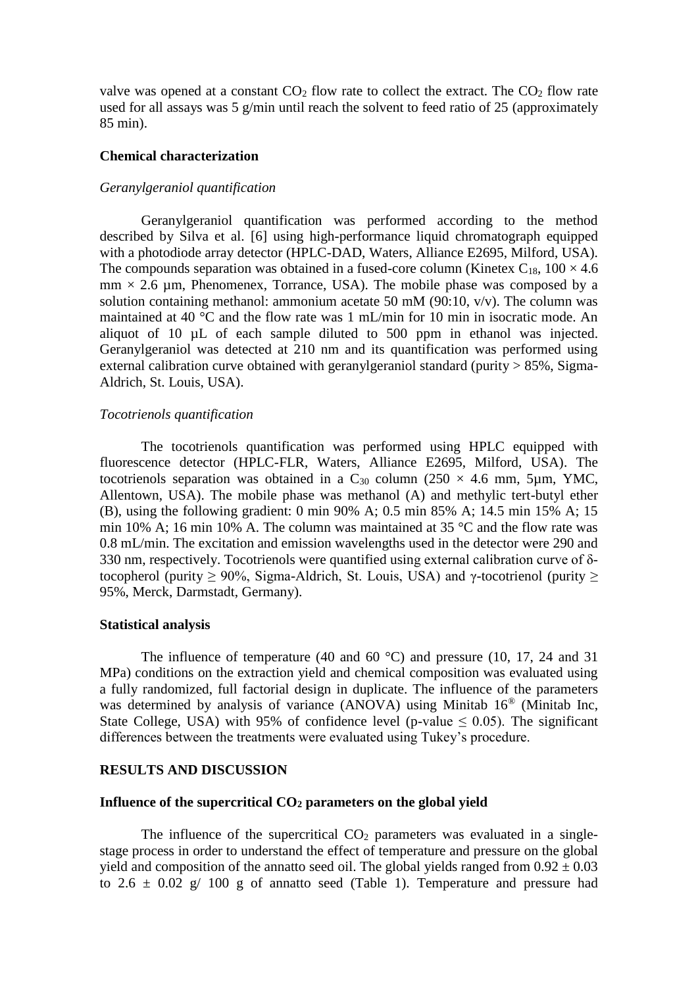valve was opened at a constant  $CO<sub>2</sub>$  flow rate to collect the extract. The  $CO<sub>2</sub>$  flow rate used for all assays was 5 g/min until reach the solvent to feed ratio of 25 (approximately 85 min).

#### **Chemical characterization**

# *Geranylgeraniol quantification*

Geranylgeraniol quantification was performed according to the method described by Silva et al. [\[6\]](#page-5-2) using high-performance liquid chromatograph equipped with a photodiode array detector (HPLC-DAD, Waters, Alliance E2695, Milford, USA). The compounds separation was obtained in a fused-core column (Kinetex  $C_{18}$ , 100  $\times$  4.6  $mm \times 2.6 \text{ µm}$ , Phenomenex, Torrance, USA). The mobile phase was composed by a solution containing methanol: ammonium acetate 50 mM (90:10, v/v). The column was maintained at 40 °C and the flow rate was 1 mL/min for 10 min in isocratic mode. An aliquot of 10 µL of each sample diluted to 500 ppm in ethanol was injected. Geranylgeraniol was detected at 210 nm and its quantification was performed using external calibration curve obtained with geranylgeraniol standard (purity  $> 85\%$ , Sigma-Aldrich, St. Louis, USA).

#### *Tocotrienols quantification*

The tocotrienols quantification was performed using HPLC equipped with fluorescence detector (HPLC-FLR, Waters, Alliance E2695, Milford, USA). The tocotrienols separation was obtained in a  $C_{30}$  column (250  $\times$  4.6 mm, 5um, YMC, Allentown, USA). The mobile phase was methanol (A) and methylic tert-butyl ether (B), using the following gradient: 0 min 90% A; 0.5 min 85% A; 14.5 min 15% A; 15 min 10% A; 16 min 10% A. The column was maintained at 35 °C and the flow rate was 0.8 mL/min. The excitation and emission wavelengths used in the detector were 290 and 330 nm, respectively. Tocotrienols were quantified using external calibration curve of δtocopherol (purity  $\geq$  90%, Sigma-Aldrich, St. Louis, USA) and γ-tocotrienol (purity  $\geq$ 95%, Merck, Darmstadt, Germany).

#### **Statistical analysis**

The influence of temperature (40 and 60  $^{\circ}$ C) and pressure (10, 17, 24 and 31 MPa) conditions on the extraction yield and chemical composition was evaluated using a fully randomized, full factorial design in duplicate. The influence of the parameters was determined by analysis of variance (ANOVA) using Minitab 16® (Minitab Inc, State College, USA) with 95% of confidence level (p-value  $\leq$  0.05). The significant differences between the treatments were evaluated using Tukey's procedure.

#### **RESULTS AND DISCUSSION**

## **Influence of the supercritical CO<sup>2</sup> parameters on the global yield**

The influence of the supercritical  $CO<sub>2</sub>$  parameters was evaluated in a singlestage process in order to understand the effect of temperature and pressure on the global yield and composition of the annatto seed oil. The global yields ranged from  $0.92 \pm 0.03$ to  $2.6 \pm 0.02$  g/ 100 g of annatto seed (Table 1). Temperature and pressure had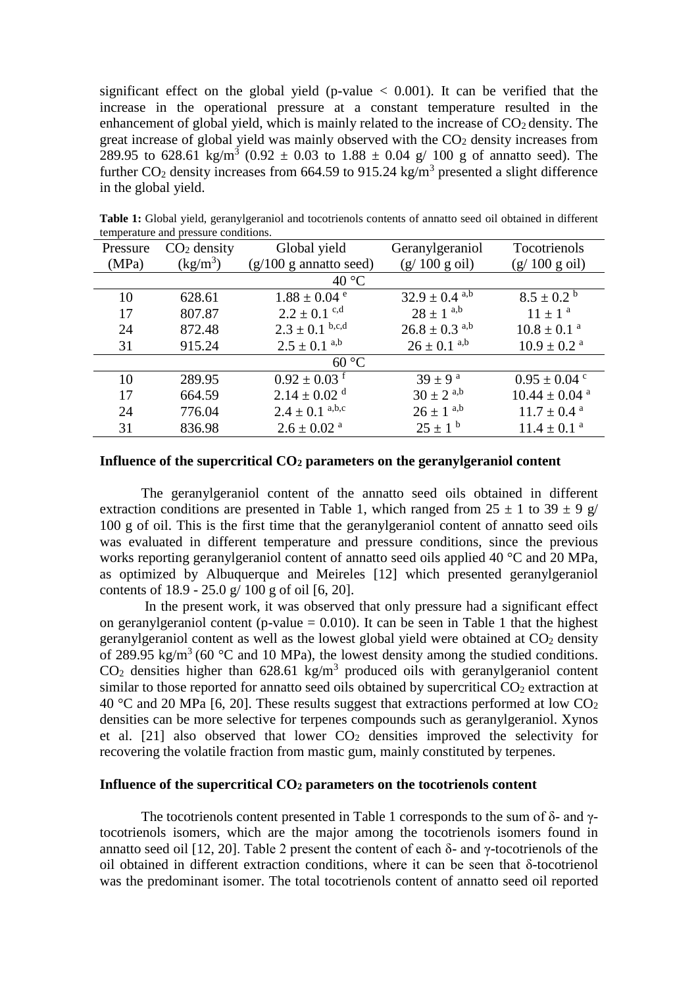significant effect on the global yield (p-value  $\langle 0.001 \rangle$ ). It can be verified that the increase in the operational pressure at a constant temperature resulted in the enhancement of global yield, which is mainly related to the increase of  $CO<sub>2</sub>$  density. The great increase of global yield was mainly observed with the  $CO<sub>2</sub>$  density increases from 289.95 to 628.61 kg/m<sup>3</sup> (0.92  $\pm$  0.03 to 1.88  $\pm$  0.04 g/ 100 g of annatto seed). The further  $CO_2$  density increases from 664.59 to 915.24 kg/m<sup>3</sup> presented a slight difference in the global yield.

| Global yield<br>Tocotrienols<br>$CO2$ density<br>Geranylgeraniol<br>Pressure<br>(MPa)<br>$\frac{\text{kg}}{\text{m}^3}$<br>$(g/100 g \text{ oil})$<br>(g/100 g oil)<br>$(g/100 g$ annatto seed)<br>40 °C<br>$8.5 \pm 0.2^{\circ}$<br>$32.9 \pm 0.4$ <sup>a,b</sup><br>$1.88 \pm 0.04$ <sup>e</sup><br>10<br>628.61<br>$28 \pm 1^{a,b}$<br>$2.2 \pm 0.1$ c,d<br>$11 \pm 1^a$<br>17<br>807.87<br>$2.3 \pm 0.1$ b,c,d<br>$26.8 \pm 0.3$ <sup>a,b</sup><br>$10.8 \pm 0.1$ <sup>a</sup><br>872.48<br>24<br>$2.5 \pm 0.1^{a,b}$<br>$26 \pm 0.1^{a,b}$<br>915.24<br>$10.9 \pm 0.2$ <sup>a</sup><br>31<br>60 °C<br>$0.92 \pm 0.03$ <sup>f</sup><br>$39 \pm 9^{\text{ a}}$<br>10<br>289.95<br>$0.95 \pm 0.04$ c | temperature and pressure conditions. |  |  |                  |  |  |  |
|--------------------------------------------------------------------------------------------------------------------------------------------------------------------------------------------------------------------------------------------------------------------------------------------------------------------------------------------------------------------------------------------------------------------------------------------------------------------------------------------------------------------------------------------------------------------------------------------------------------------------------------------------------------------------------------------------------|--------------------------------------|--|--|------------------|--|--|--|
|                                                                                                                                                                                                                                                                                                                                                                                                                                                                                                                                                                                                                                                                                                        |                                      |  |  |                  |  |  |  |
|                                                                                                                                                                                                                                                                                                                                                                                                                                                                                                                                                                                                                                                                                                        |                                      |  |  |                  |  |  |  |
|                                                                                                                                                                                                                                                                                                                                                                                                                                                                                                                                                                                                                                                                                                        |                                      |  |  |                  |  |  |  |
|                                                                                                                                                                                                                                                                                                                                                                                                                                                                                                                                                                                                                                                                                                        |                                      |  |  |                  |  |  |  |
|                                                                                                                                                                                                                                                                                                                                                                                                                                                                                                                                                                                                                                                                                                        |                                      |  |  |                  |  |  |  |
|                                                                                                                                                                                                                                                                                                                                                                                                                                                                                                                                                                                                                                                                                                        |                                      |  |  |                  |  |  |  |
|                                                                                                                                                                                                                                                                                                                                                                                                                                                                                                                                                                                                                                                                                                        |                                      |  |  |                  |  |  |  |
|                                                                                                                                                                                                                                                                                                                                                                                                                                                                                                                                                                                                                                                                                                        |                                      |  |  |                  |  |  |  |
|                                                                                                                                                                                                                                                                                                                                                                                                                                                                                                                                                                                                                                                                                                        |                                      |  |  |                  |  |  |  |
| $2.14 \pm 0.02$ <sup>d</sup><br>17<br>$10.44 \pm 0.04$ <sup>a</sup><br>664.59                                                                                                                                                                                                                                                                                                                                                                                                                                                                                                                                                                                                                          |                                      |  |  | $30 \pm 2^{a,b}$ |  |  |  |
| $2.4 \pm 0.1^{a,b,c}$<br>$26 \pm 1^{a,b}$<br>24<br>776.04<br>$11.7 \pm 0.4$ <sup>a</sup>                                                                                                                                                                                                                                                                                                                                                                                                                                                                                                                                                                                                               |                                      |  |  |                  |  |  |  |
| $25 \pm 1^{\circ}$<br>836.98<br>$2.6 \pm 0.02$ <sup>a</sup><br>$11.4 \pm 0.1$ <sup>a</sup><br>31                                                                                                                                                                                                                                                                                                                                                                                                                                                                                                                                                                                                       |                                      |  |  |                  |  |  |  |

**Table 1:** Global yield, geranylgeraniol and tocotrienols contents of annatto seed oil obtained in different temperature and pressure conditions.

# **Influence of the supercritical CO<sup>2</sup> parameters on the geranylgeraniol content**

The geranylgeraniol content of the annatto seed oils obtained in different extraction conditions are presented in Table 1, which ranged from  $25 \pm 1$  to  $39 \pm 9$  g/ 100 g of oil. This is the first time that the geranylgeraniol content of annatto seed oils was evaluated in different temperature and pressure conditions, since the previous works reporting geranylgeraniol content of annatto seed oils applied 40 °C and 20 MPa. as optimized by Albuquerque and Meireles [\[12\]](#page-5-9) which presented geranylgeraniol contents of 18.9 - 25.0 g/ 100 g of oil [\[6,](#page-5-2) [20\]](#page-6-5).

In the present work, it was observed that only pressure had a significant effect on geranylgeraniol content (p-value  $= 0.010$ ). It can be seen in Table 1 that the highest geranylgeraniol content as well as the lowest global yield were obtained at  $CO<sub>2</sub>$  density of 289.95 kg/m<sup>3</sup> (60 °C and 10 MPa), the lowest density among the studied conditions.  $CO<sub>2</sub>$  densities higher than 628.61 kg/m<sup>3</sup> produced oils with geranylgeraniol content similar to those reported for annatto seed oils obtained by supercritical  $CO<sub>2</sub>$  extraction at 40 °C and 20 MPa [\[6,](#page-5-2) [20\]](#page-6-5). These results suggest that extractions performed at low  $CO<sub>2</sub>$ densities can be more selective for terpenes compounds such as geranylgeraniol. Xynos et al. [\[21\]](#page-6-6) also observed that lower  $CO<sub>2</sub>$  densities improved the selectivity for recovering the volatile fraction from mastic gum, mainly constituted by terpenes.

# **Influence of the supercritical CO<sup>2</sup> parameters on the tocotrienols content**

The tocotrienols content presented in Table 1 corresponds to the sum of δ- and γtocotrienols isomers, which are the major among the tocotrienols isomers found in annatto seed oil [\[12,](#page-5-9) [20\]](#page-6-5). Table 2 present the content of each δ- and γ-tocotrienols of the oil obtained in different extraction conditions, where it can be seen that δ-tocotrienol was the predominant isomer. The total tocotrienols content of annatto seed oil reported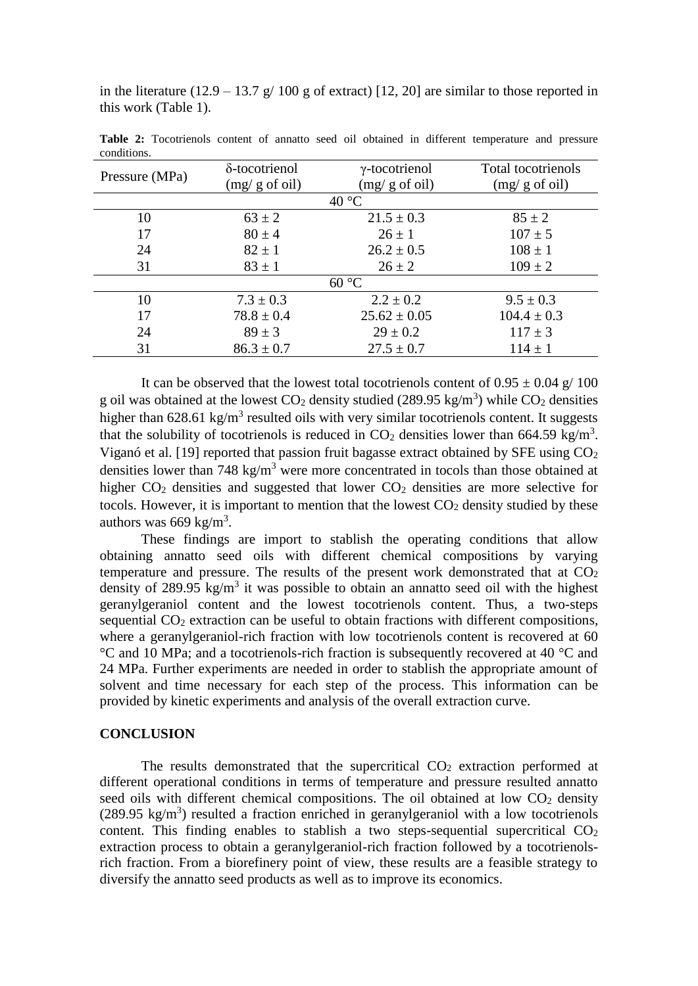in the literature  $(12.9 - 13.7 \text{ g} / 100 \text{ g}$  of extract) [\[12,](#page-5-9) [20\]](#page-6-5) are similar to those reported in this work (Table 1).

| Pressure (MPa) | δ-tocotrienol  | $\gamma$ -tocotrienol | Total tocotrienols |  |  |  |
|----------------|----------------|-----------------------|--------------------|--|--|--|
|                | (mg/g of oil)  | (mg/g of oil)         | (mg/g of oil)      |  |  |  |
| $40^{\circ}$ C |                |                       |                    |  |  |  |
| 10             | $63 \pm 2$     | $21.5 \pm 0.3$        | $85 \pm 2$         |  |  |  |
| 17             | $80 \pm 4$     | $26 \pm 1$            | $107 \pm 5$        |  |  |  |
| 24             | $82 \pm 1$     | $26.2 \pm 0.5$        | $108 \pm 1$        |  |  |  |
| 31             | $83 \pm 1$     | $26 \pm 2$            | $109 \pm 2$        |  |  |  |
| 60 °C          |                |                       |                    |  |  |  |
| 10             | $7.3 \pm 0.3$  | $2.2 \pm 0.2$         | $9.5 \pm 0.3$      |  |  |  |
| 17             | $78.8 \pm 0.4$ | $25.62 \pm 0.05$      | $104.4 \pm 0.3$    |  |  |  |
| 24             | $89 \pm 3$     | $29 \pm 0.2$          | $117 \pm 3$        |  |  |  |
| 31             | $86.3 \pm 0.7$ | $27.5 \pm 0.7$        | $114 \pm 1$        |  |  |  |

**Table 2:** Tocotrienols content of annatto seed oil obtained in different temperature and pressure conditions.

It can be observed that the lowest total tocotrienols content of  $0.95 \pm 0.04$  g/ 100 g oil was obtained at the lowest  $CO_2$  density studied (289.95 kg/m<sup>3</sup>) while  $CO_2$  densities higher than  $628.61 \text{ kg/m}^3$  resulted oils with very similar tocotrienols content. It suggests that the solubility of tocotrienols is reduced in  $CO<sub>2</sub>$  densities lower than 664.59 kg/m<sup>3</sup>. Viganó et al. [\[19\]](#page-6-4) reported that passion fruit bagasse extract obtained by SFE using  $CO<sub>2</sub>$ densities lower than 748 kg/m<sup>3</sup> were more concentrated in tocols than those obtained at higher  $CO<sub>2</sub>$  densities and suggested that lower  $CO<sub>2</sub>$  densities are more selective for tocols. However, it is important to mention that the lowest  $CO<sub>2</sub>$  density studied by these authors was  $669 \text{ kg/m}^3$ .

These findings are import to stablish the operating conditions that allow obtaining annatto seed oils with different chemical compositions by varying temperature and pressure. The results of the present work demonstrated that at  $CO<sub>2</sub>$ density of 289.95 kg/m<sup>3</sup> it was possible to obtain an annatto seed oil with the highest geranylgeraniol content and the lowest tocotrienols content. Thus, a two-steps sequential  $CO<sub>2</sub>$  extraction can be useful to obtain fractions with different compositions, where a geranylgeraniol-rich fraction with low tocotrienols content is recovered at 60 °C and 10 MPa; and a tocotrienols-rich fraction is subsequently recovered at 40 °C and 24 MPa. Further experiments are needed in order to stablish the appropriate amount of solvent and time necessary for each step of the process. This information can be provided by kinetic experiments and analysis of the overall extraction curve.

## **CONCLUSION**

The results demonstrated that the supercritical  $CO<sub>2</sub>$  extraction performed at different operational conditions in terms of temperature and pressure resulted annatto seed oils with different chemical compositions. The oil obtained at low  $CO<sub>2</sub>$  density  $(289.95 \text{ kg/m}^3)$  resulted a fraction enriched in geranylgeraniol with a low tocotrienols content. This finding enables to stablish a two steps-sequential supercritical  $CO<sub>2</sub>$ extraction process to obtain a geranylgeraniol-rich fraction followed by a tocotrienolsrich fraction. From a biorefinery point of view, these results are a feasible strategy to diversify the annatto seed products as well as to improve its economics.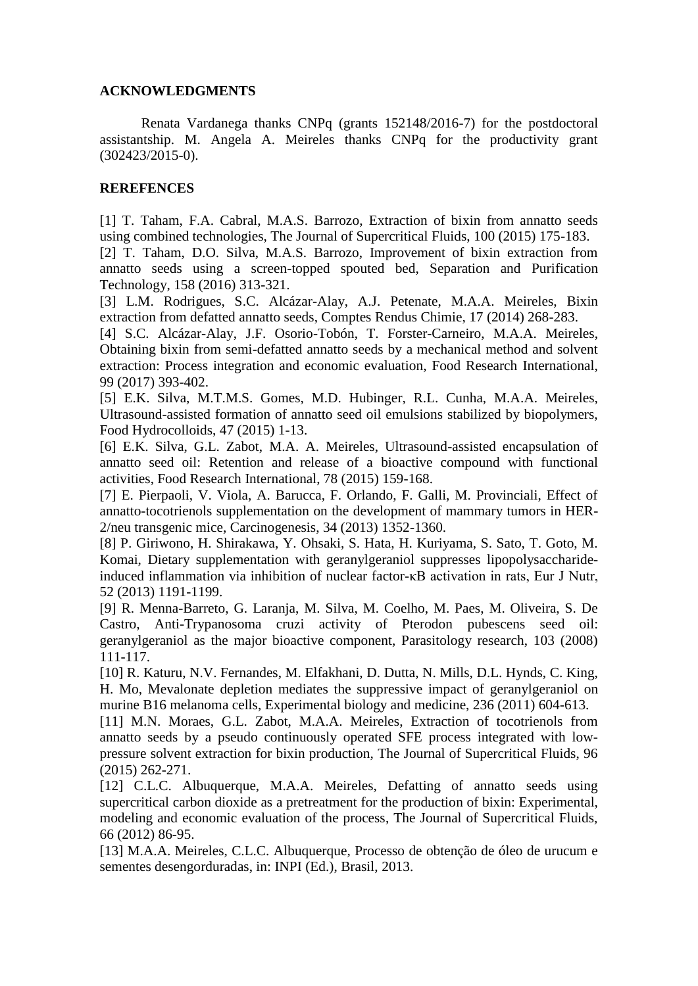# **ACKNOWLEDGMENTS**

Renata Vardanega thanks CNPq (grants 152148/2016-7) for the postdoctoral assistantship. M. Angela A. Meireles thanks CNPq for the productivity grant (302423/2015-0).

# **REREFENCES**

<span id="page-5-0"></span>[1] T. Taham, F.A. Cabral, M.A.S. Barrozo, Extraction of bixin from annatto seeds using combined technologies, The Journal of Supercritical Fluids, 100 (2015) 175-183.

[2] T. Taham, D.O. Silva, M.A.S. Barrozo, Improvement of bixin extraction from annatto seeds using a screen-topped spouted bed, Separation and Purification Technology, 158 (2016) 313-321.

<span id="page-5-7"></span>[3] L.M. Rodrigues, S.C. Alcázar-Alay, A.J. Petenate, M.A.A. Meireles, Bixin extraction from defatted annatto seeds, Comptes Rendus Chimie, 17 (2014) 268-283.

[4] S.C. Alcázar-Alay, J.F. Osorio-Tobón, T. Forster-Carneiro, M.A.A. Meireles, Obtaining bixin from semi-defatted annatto seeds by a mechanical method and solvent extraction: Process integration and economic evaluation, Food Research International, 99 (2017) 393-402.

<span id="page-5-1"></span>[5] E.K. Silva, M.T.M.S. Gomes, M.D. Hubinger, R.L. Cunha, M.A.A. Meireles, Ultrasound-assisted formation of annatto seed oil emulsions stabilized by biopolymers, Food Hydrocolloids, 47 (2015) 1-13.

<span id="page-5-2"></span>[6] E.K. Silva, G.L. Zabot, M.A. A. Meireles, Ultrasound-assisted encapsulation of annatto seed oil: Retention and release of a bioactive compound with functional activities, Food Research International, 78 (2015) 159-168.

<span id="page-5-3"></span>[7] E. Pierpaoli, V. Viola, A. Barucca, F. Orlando, F. Galli, M. Provinciali, Effect of annatto-tocotrienols supplementation on the development of mammary tumors in HER-2/neu transgenic mice, Carcinogenesis, 34 (2013) 1352-1360.

<span id="page-5-4"></span>[8] P. Giriwono, H. Shirakawa, Y. Ohsaki, S. Hata, H. Kuriyama, S. Sato, T. Goto, M. Komai, Dietary supplementation with geranylgeraniol suppresses lipopolysaccharideinduced inflammation via inhibition of nuclear factor-κB activation in rats, Eur J Nutr, 52 (2013) 1191-1199.

<span id="page-5-5"></span>[9] R. Menna-Barreto, G. Laranja, M. Silva, M. Coelho, M. Paes, M. Oliveira, S. De Castro, Anti-Trypanosoma cruzi activity of Pterodon pubescens seed oil: geranylgeraniol as the major bioactive component, Parasitology research, 103 (2008) 111-117.

<span id="page-5-6"></span>[10] R. Katuru, N.V. Fernandes, M. Elfakhani, D. Dutta, N. Mills, D.L. Hynds, C. King, H. Mo, Mevalonate depletion mediates the suppressive impact of geranylgeraniol on murine B16 melanoma cells, Experimental biology and medicine, 236 (2011) 604-613.

<span id="page-5-8"></span>[11] M.N. Moraes, G.L. Zabot, M.A.A. Meireles, Extraction of tocotrienols from annatto seeds by a pseudo continuously operated SFE process integrated with lowpressure solvent extraction for bixin production, The Journal of Supercritical Fluids, 96 (2015) 262-271.

<span id="page-5-9"></span>[12] C.L.C. Albuquerque, M.A.A. Meireles, Defatting of annatto seeds using supercritical carbon dioxide as a pretreatment for the production of bixin: Experimental, modeling and economic evaluation of the process, The Journal of Supercritical Fluids, 66 (2012) 86-95.

<span id="page-5-10"></span>[13] M.A.A. Meireles, C.L.C. Albuquerque, Processo de obtenção de óleo de urucum e sementes desengorduradas, in: INPI (Ed.), Brasil, 2013.